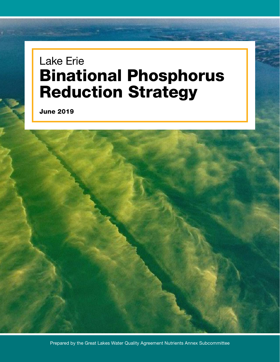# Lake Erie Binational Phosphorus Reduction Strategy

June 2019

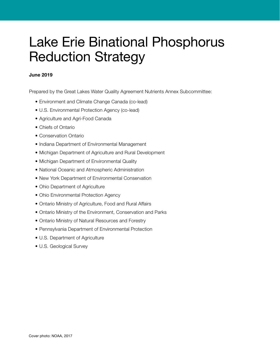# Lake Erie Binational Phosphorus Reduction Strategy

#### June 2019

Prepared by the Great Lakes Water Quality Agreement Nutrients Annex Subcommittee:

- Environment and Climate Change Canada (co-lead)
- U.S. Environmental Protection Agency (co-lead)
- Agriculture and Agri-Food Canada
- Chiefs of Ontario
- Conservation Ontario
- Indiana Department of Environmental Management
- Michigan Department of Agriculture and Rural Development
- Michigan Department of Environmental Quality
- National Oceanic and Atmospheric Administration
- New York Department of Environmental Conservation
- Ohio Department of Agriculture
- Ohio Environmental Protection Agency
- Ontario Ministry of Agriculture, Food and Rural Affairs
- Ontario Ministry of the Environment, Conservation and Parks
- Ontario Ministry of Natural Resources and Forestry
- Pennsylvania Department of Environmental Protection
- U.S. Department of Agriculture
- U.S. Geological Survey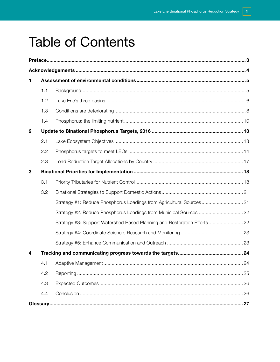# **Table of Contents**

| 1                       |     |                                                                          |  |
|-------------------------|-----|--------------------------------------------------------------------------|--|
|                         | 1.1 |                                                                          |  |
|                         | 1.2 |                                                                          |  |
|                         | 1.3 |                                                                          |  |
|                         | 1.4 |                                                                          |  |
| $\mathbf{2}$            |     |                                                                          |  |
|                         | 2.1 |                                                                          |  |
|                         | 2.2 |                                                                          |  |
|                         | 2.3 |                                                                          |  |
| 3                       |     |                                                                          |  |
|                         | 3.1 |                                                                          |  |
|                         | 3.2 |                                                                          |  |
|                         |     | Strategy #1: Reduce Phosphorus Loadings from Agricultural Sources21      |  |
|                         |     |                                                                          |  |
|                         |     | Strategy #3: Support Watershed Based Planning and Restoration Efforts 22 |  |
|                         |     |                                                                          |  |
|                         |     |                                                                          |  |
| $\overline{\mathbf{4}}$ |     |                                                                          |  |
|                         |     |                                                                          |  |
|                         | 4.2 |                                                                          |  |
|                         | 4.3 |                                                                          |  |
|                         | 4.4 |                                                                          |  |
|                         |     |                                                                          |  |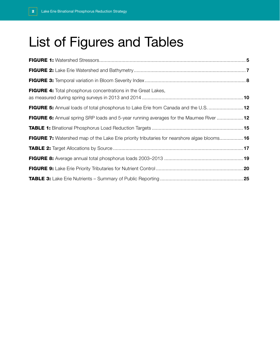# List of Figures and Tables

| FIGURE 4: Total phosphorus concentrations in the Great Lakes,                                      |  |
|----------------------------------------------------------------------------------------------------|--|
| FIGURE 5: Annual loads of total phosphorus to Lake Erie from Canada and the U.S.  12               |  |
| FIGURE 6: Annual spring SRP loads and 5-year running averages for the Maumee River  12             |  |
|                                                                                                    |  |
| <b>FIGURE 7:</b> Watershed map of the Lake Erie priority tributaries for nearshore algae blooms 16 |  |
|                                                                                                    |  |
|                                                                                                    |  |
|                                                                                                    |  |
|                                                                                                    |  |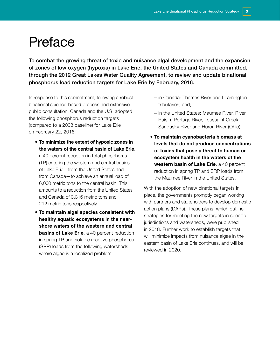## <span id="page-4-0"></span>Preface

To combat the growing threat of toxic and nuisance algal development and the expansion of zones of low oxygen (hypoxia) in Lake Erie, the United States and Canada committed, through the [2012 Great Lakes Water Quality Agreement,](https://binational.net/glwqa-aqegl/) to review and update binational phosphorus load reduction targets for Lake Erie by February, 2016.

In response to this commitment, following a robust binational science-based process and extensive public consultation, Canada and the U.S. adopted the following phosphorus reduction targets (compared to a 2008 baseline) for Lake Erie on February 22, 2016:

- To minimize the extent of hypoxic zones in the waters of the central basin of Lake Erie, a 40 percent reduction in total phosphorus (TP) entering the western and central basins of Lake Erie—from the United States and from Canada—to achieve an annual load of 6,000 metric tons to the central basin. This amounts to a reduction from the United States and Canada of 3,316 metric tons and 212 metric tons respectively.
- To maintain algal species consistent with healthy aquatic ecosystems in the nearshore waters of the western and central **basins of Lake Erie**, a 40 percent reduction in spring TP and soluble reactive phosphorus (SRP) loads from the following watersheds where algae is a localized problem:
- in Canada: Thames River and Leamington tributaries, and;
- in the United States: Maumee River, River Raisin, Portage River, Toussaint Creek, Sandusky River and Huron River (Ohio).
- To maintain cyanobacteria biomass at levels that do not produce concentrations of toxins that pose a threat to human or ecosystem health in the waters of the western basin of Lake Erie, a 40 percent reduction in spring TP and SRP loads from the Maumee River in the United States.

With the adoption of new binational targets in place, the governments promptly began working with partners and stakeholders to develop domestic action plans (DAPs). These plans, which outline strategies for meeting the new targets in specific jurisdictions and watersheds, were published in 2018. Further work to establish targets that will minimize impacts from nuisance algae in the eastern basin of Lake Erie continues, and will be reviewed in 2020.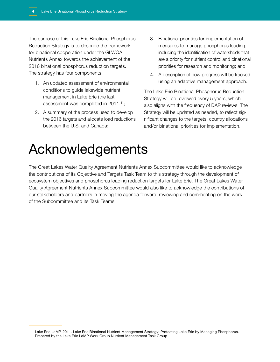<span id="page-5-0"></span>The purpose of this Lake Erie Binational Phosphorus Reduction Strategy is to describe the framework for binational cooperation under the GLWQA Nutrients Annex towards the achievement of the 2016 binational phosphorus reduction targets. The strategy has four components:

- 1. An updated assessment of environmental conditions to guide lakewide nutrient management in Lake Erie (the last assessment was completed in  $2011.1$ ;
- 2. A summary of the process used to develop the 2016 targets and allocate load reductions between the U.S. and Canada;
- 3. Binational priorities for implementation of measures to manage phosphorus loading, including the identification of watersheds that are a priority for nutrient control and binational priorities for research and monitoring; and
- 4. A description of how progress will be tracked using an adaptive management approach.

The Lake Erie Binational Phosphorus Reduction Strategy will be reviewed every 5 years, which also aligns with the frequency of DAP reviews. The Strategy will be updated as needed, to reflect significant changes to the targets, country allocations and/or binational priorities for implementation.

# Acknowledgements

The Great Lakes Water Quality Agreement Nutrients Annex Subcommittee would like to acknowledge the contributions of its Objective and Targets Task Team to this strategy through the development of ecosystem objectives and phosphorus loading reduction targets for Lake Erie. The Great Lakes Water Quality Agreement Nutrients Annex Subcommittee would also like to acknowledge the contributions of our stakeholders and partners in moving the agenda forward, reviewing and commenting on the work of the Subcommittee and its Task Teams.

<sup>1</sup> Lake Erie LaMP. 2011. Lake Erie Binational Nutrient Management Strategy: Protecting Lake Erie by Managing Phosphorus. Prepared by the Lake Erie LaMP Work Group Nutrient Management Task Group.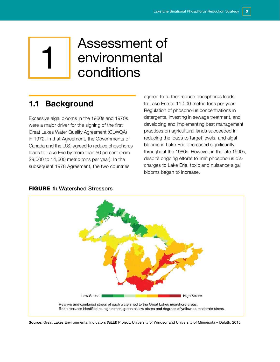# <span id="page-6-0"></span>1 Assessment of<br>1 environmental<br>conditions environmental conditions

## 1.1 Background

Excessive algal blooms in the 1960s and 1970s were a major driver for the signing of the first Great Lakes Water Quality Agreement (GLWQA) in 1972. In that Agreement, the Governments of Canada and the U.S. agreed to reduce phosphorus loads to Lake Erie by more than 50 percent (from 29,000 to 14,600 metric tons per year). In the subsequent 1978 Agreement, the two countries

agreed to further reduce phosphorus loads to Lake Erie to 11,000 metric tons per year. Regulation of phosphorus concentrations in detergents, investing in sewage treatment, and developing and implementing best management practices on agricultural lands succeeded in reducing the loads to target levels, and algal blooms in Lake Erie decreased significantly throughout the 1980s. However, in the late 1990s, despite ongoing efforts to limit phosphorus discharges to Lake Erie, toxic and nuisance algal blooms began to increase.

#### FIGURE 1: Watershed Stressors



Source: Great Lakes Environmental Indicators (GLEI) Project, University of Windsor and University of Minnesota – Duluth, 2015.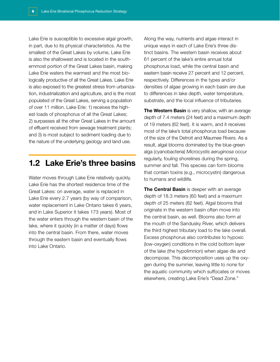<span id="page-7-0"></span>Lake Erie is susceptible to excessive algal growth, in part, due to its physical characteristics. As the smallest of the Great Lakes by volume, Lake Erie is also the shallowest and is located in the southernmost portion of the Great Lakes basin, making Lake Erie waters the warmest and the most biologically productive of all the Great Lakes. Lake Erie is also exposed to the greatest stress from urbanization, industrialization and agriculture, and is the most populated of the Great Lakes, serving a population of over 11 million. Lake Erie: 1) receives the highest loads of phosphorus of all the Great Lakes; 2) surpasses all the other Great Lakes in the amount of effluent received from sewage treatment plants; and 3) is most subject to sediment loading due to the nature of the underlying geology and land use.

## 1.2 Lake Erie's three basins

Water moves through Lake Erie relatively quickly. Lake Erie has the shortest residence time of the Great Lakes: on average, water is replaced in Lake Erie every 2.7 years (by way of comparison, water replacement in Lake Ontario takes 6 years, and in Lake Superior it takes 173 years). Most of the water enters through the western basin of the lake, where it quickly (in a matter of days) flows into the central basin. From there, water moves through the eastern basin and eventually flows into Lake Ontario.

Along the way, nutrients and algae interact in unique ways in each of Lake Erie's three distinct basins. The western basin receives about 61 percent of the lake's entire annual total phosphorus load, while the central basin and eastern basin receive 27 percent and 12 percent, respectively. Differences in the types and/or densities of algae growing in each basin are due to differences in lake depth, water temperature, substrate, and the local influence of tributaries.

The Western Basin is very shallow, with an average depth of 7.4 meters (24 feet) and a maximum depth of 19 meters (62 feet). It is warm, and it receives most of the lake's total phosphorus load because of the size of the Detroit and Maumee Rivers. As a result, algal blooms dominated by the blue-green alga (cyanobacteria) *Microcystis aeruginosa* occur regularly, fouling shorelines during the spring, summer and fall. This species can form blooms that contain toxins (e.g., microcystin) dangerous to humans and wildlife.

The Central Basin is deeper with an average depth of 18.3 meters (60 feet) and a maximum depth of 25 meters (82 feet). Algal blooms that originate in the western basin often move into the central basin, as well. Blooms also form at the mouth of the Sandusky River, which delivers the third highest tributary load to the lake overall. Excess phosphorus also contributes to hypoxic (low-oxygen) conditions in the cold bottom layer of the lake (the hypolimnion) when algae die and decompose. This decomposition uses up the oxygen during the summer, leaving little to none for the aquatic community which suffocates or moves elsewhere, creating Lake Erie's "Dead Zone."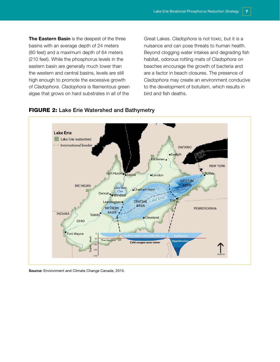The Eastern Basin is the deepest of the three basins with an average depth of 24 meters (80 feet) and a maximum depth of 64 meters (210 feet). While the phosphorus levels in the eastern basin are generally much lower than the western and central basins, levels are still high enough to promote the excessive growth of *Cladophora*. *Cladophora* is filamentous green algae that grows on hard substrates in all of the

Great Lakes. *Cladophora* is not toxic, but it is a nuisance and can pose threats to human health. Beyond clogging water intakes and degrading fish habitat, odorous rotting mats of *Cladophora* on beaches encourage the growth of bacteria and are a factor in beach closures. The presence of *Cladophora* may create an environment conducive to the development of botulism, which results in bird and fish deaths.



#### **FIGURE 2: Lake Erie Watershed and Bathymetry**

Source: Environment and Climate Change Canada, 2015.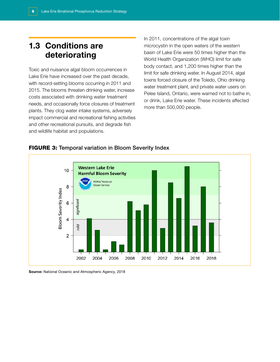## <span id="page-9-0"></span>1.3 Conditions are deteriorating

Toxic and nuisance algal bloom occurrences in Lake Erie have increased over the past decade, with record-setting blooms occurring in 2011 and 2015. The blooms threaten drinking water, increase costs associated with drinking water treatment needs, and occasionally force closures of treatment plants. They clog water intake systems, adversely impact commercial and recreational fishing activities and other recreational pursuits, and degrade fish and wildlife habitat and populations.

In 2011, concentrations of the algal toxin microcystin in the open waters of the western basin of Lake Erie were 50 times higher than the World Health Organization (WHO) limit for safe body contact, and 1,200 times higher than the limit for safe drinking water. In August 2014, algal toxins forced closure of the Toledo, Ohio drinking water treatment plant, and private water users on Pelee Island, Ontario, were warned not to bathe in, or drink, Lake Erie water. These incidents affected more than 500,000 people.



#### **FIGURE 3: Temporal variation in Bloom Severity Index**

Source: National Oceanic and Atmospheric Agency, 2018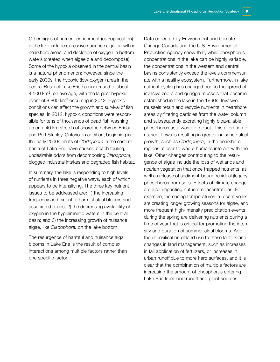Other signs of nutrient enrichment (eutrophication) in the lake include excessive nuisance algal growth in nearshore areas, and depletion of oxygen in bottom waters (created when algae die and decompose). Some of the hypoxia observed in the central basin is a natural phenomenon; however, since the early 2000s, the hypoxic (low-oxygen) area in the central Basin of Lake Erie has increased to about 4,500 km2, on average, with the largest hypoxic event of 8,800 km2 occurring in 2012. Hypoxic conditions can affect the growth and survival of fish species. In 2012, hypoxic conditions were responsible for tens of thousands of dead fish washing up on a 40 km stretch of shoreline between Erieau and Port Stanley, Ontario. In addition, beginning in the early 2000s, mats of *Cladophora* in the eastern basin of Lake Erie have caused beach fouling, undesirable odors from decomposing *Cladophora,* clogged industrial intakes and degraded fish habitat.

In summary, the lake is responding to high levels of nutrients in three negative ways, each of which appears to be intensifying. The three key nutrient issues to be addressed are: 1) the increasing frequency and extent of harmful algal blooms and associated toxins; 2) the decreasing availability of oxygen in the hypolimnetic waters in the central basin; and 3) the increasing growth of nuisance algae, like *Cladophora,* on the lake bottom.

The resurgence of harmful and nuisance algal blooms in Lake Erie is the result of complex interactions among multiple factors rather than one specific factor.

Data collected by Environment and Climate Change Canada and the U.S. Environmental Protection Agency show that, while phosphorus concentrations in the lake can be highly variable, the concentrations in the western and central basins consistently exceed the levels commensurate with a healthy ecosystem. Furthermore, in-lake nutrient cycling has changed due to the spread of invasive zebra and quagga mussels that became established in the lake in the 1990s. Invasive mussels retain and recycle nutrients in nearshore areas by filtering particles from the water column and subsequently excreting highly bioavailable phosphorus as a waste product. This alteration of nutrient flows is resulting in greater nuisance algal growth, such as *Cladophora*, in the nearshore regions, closer to where humans interact with the lake. Other changes contributing to the resurgence of algae include the loss of wetlands and riparian vegetation that once trapped nutrients, as well as release of sediment-bound residual (legacy) phosphorus from soils. Effects of climate change are also impacting nutrient concentrations. For example, increasing temperatures in recent years are creating longer growing seasons for algae, and more frequent high-intensity precipitation events during the spring are delivering nutrients during a time of year that is critical for promoting the intensity and duration of summer algal blooms. Add the intensification of land use to these factors and changes in land management, such as increases in fall application of fertilizers, or increases in urban runoff due to more hard surfaces, and it is clear that the combination of multiple factors are increasing the amount of phosphorus entering Lake Erie from land runoff and point sources.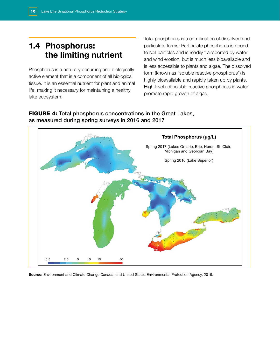## <span id="page-11-0"></span>1.4 Phosphorus: the limiting nutrient

Phosphorus is a naturally occurring and biologically active element that is a component of all biological tissue. It is an essential nutrient for plant and animal life, making it necessary for maintaining a healthy lake ecosystem.

Total phosphorus is a combination of dissolved and particulate forms. Particulate phosphorus is bound to soil particles and is readily transported by water and wind erosion, but is much less bioavailable and is less accessible to plants and algae. The dissolved form (known as "soluble reactive phosphorus") is highly bioavailable and rapidly taken up by plants. High levels of soluble reactive phosphorus in water promote rapid growth of algae.

### FIGURE 4: Total phosphorus concentrations in the Great Lakes, as measured during spring surveys in 2016 and 2017



Source: Environment and Climate Change Canada, and United States Environmental Protection Agency, 2019.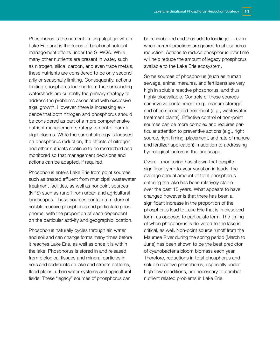Phosphorus is the nutrient limiting algal growth in Lake Erie and is the focus of binational nutrient management efforts under the GLWQA. While many other nutrients are present in water, such as nitrogen, silica, carbon, and even trace metals, these nutrients are considered to be only secondarily or seasonally limiting. Consequently, actions limiting phosphorus loading from the surrounding watersheds are currently the primary strategy to address the problems associated with excessive algal growth. However, there is increasing evidence that both nitrogen and phosphorus should be considered as part of a more comprehensive nutrient management strategy to control harmful algal blooms. While the current strategy is focused on phosphorus reduction, the effects of nitrogen and other nutrients continue to be researched and monitored so that management decisions and actions can be adapted, if required.

Phosphorus enters Lake Erie from point sources, such as treated effluent from municipal wastewater treatment facilities, as well as nonpoint sources (NPS) such as runoff from urban and agricultural landscapes. These sources contain a mixture of soluble reactive phosphorus and particulate phosphorus, with the proportion of each dependent on the particular activity and geographic location.

Phosphorus naturally cycles through air, water and soil and can change forms many times before it reaches Lake Erie, as well as once it is within the lake. Phosphorus is stored in and released from biological tissues and mineral particles in soils and sediments on lake and stream bottoms, flood plains, urban water systems and agricultural fields. These "legacy" sources of phosphorus can

be re-mobilized and thus add to loadings — even when current practices are geared to phosphorus reduction. Actions to reduce phosphorus over time will help reduce the amount of legacy phosphorus available to the Lake Erie ecosystem.

Some sources of phosphorus (such as human sewage, animal manures, and fertilizers) are very high in soluble reactive phosphorus, and thus highly bioavailable. Controls of these sources can involve containment (e.g., manure storage) and often specialized treatment (e.g., wastewater treatment plants). Effective control of non-point sources can be more complex and requires particular attention to preventive actions (e.g., right source, right timing, placement, and rate of manure and fertilizer application) in addition to addressing hydrological factors in the landscape.

Overall, monitoring has shown that despite significant year-to-year variation in loads, the average annual amount of total phosphorus entering the lake has been relatively stable over the past 15 years. What appears to have changed however is that there has been a significant increase in the proportion of the phosphorus load to Lake Erie that is in dissolved form, as opposed to particulate form. The timing of when phosphorus is delivered to the lake is critical, as well. Non-point source runoff from the Maumee River during the spring period (March to June) has been shown to be the best predictor of cyanobacteria bloom biomass each year. Therefore, reductions in total phosphorus and soluble reactive phosphorus, especially under high flow conditions, are necessary to combat nutrient related problems in Lake Erie.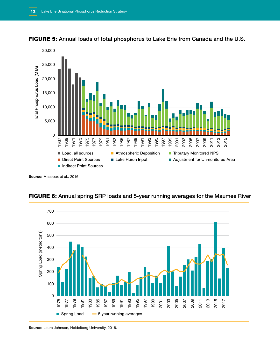





FIGURE 6: Annual spring SRP loads and 5-year running averages for the Maumee River

Source: Laura Johnson, Heidelberg University, 2018.

Source: Maccoux et al., 2016.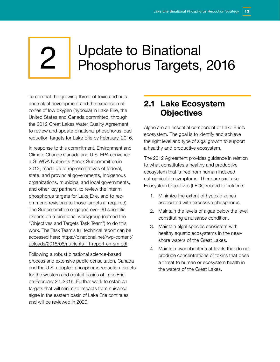# <span id="page-14-0"></span>2 | Update to Binational<br>2 | Phosphorus Targets, 2016

To combat the growing threat of toxic and nuisance algal development and the expansion of zones of low oxygen (hypoxia) in Lake Erie, the United States and Canada committed, through the [2012 Great Lakes Water Quality Agreement](https://binational.net/glwqa-aqegl/), to review and update binational phosphorus load reduction targets for Lake Erie by February, 2016.

In response to this commitment, Environment and Climate Change Canada and U.S. EPA convened a GLWQA Nutrients Annex Subcommittee in 2013, made up of representatives of federal, state, and provincial governments, Indigenous organizations, municipal and local governments, and other key partners, to review the interim phosphorus targets for Lake Erie, and to recommend revisions to those targets (if required). The Subcommittee engaged over 30 scientific experts on a binational workgroup (named the "Objectives and Targets Task Team") to do this work. The Task Team's full technical report can be accessed here: https://binational.net//wp-content/ uploads/2015/06/nutrients-TT-report-en-sm.pdf.

Following a robust binational science-based process and extensive public consultation, Canada and the U.S. adopted phosphorus reduction targets for the western and central basins of Lake Erie on February 22, 2016. Further work to establish targets that will minimize impacts from nuisance algae in the eastern basin of Lake Erie continues, and will be reviewed in 2020.

## 2.1 Lake Ecosystem **Objectives**

Algae are an essential component of Lake Erie's ecosystem. The goal is to identify and achieve the right level and type of algal growth to support a healthy and productive ecosystem.

The 2012 Agreement provides guidance in relation to what constitutes a healthy and productive ecosystem that is free from human induced eutrophication symptoms. There are six Lake Ecosystem Objectives (LEOs) related to nutrients:

- 1. Minimize the extent of hypoxic zones associated with excessive phosphorus.
- 2. Maintain the levels of algae below the level constituting a nuisance condition.
- 3. Maintain algal species consistent with healthy aquatic ecosystems in the nearshore waters of the Great Lakes.
- 4. Maintain cyanobacteria at levels that do not produce concentrations of toxins that pose a threat to human or ecosystem health in the waters of the Great Lakes.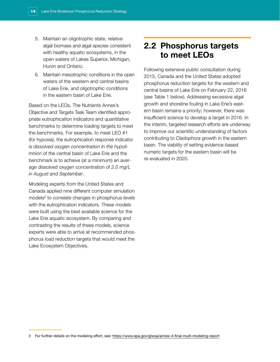- <span id="page-15-0"></span>5. Maintain an oligotrophic state, relative algal biomass and algal species consistent with healthy aquatic ecosystems, in the open waters of Lakes Superior, Michigan, Huron and Ontario.
- 6. Maintain mesotrophic conditions in the open waters of the western and central basins of Lake Erie, and oligotrophic conditions in the eastern basin of Lake Erie.

Based on the LEOs, The Nutrients Annex's Objective and Targets Task Team identified appropriate eutrophication indicators and quantitative benchmarks to determine loading targets to meet the benchmarks. For example, to meet LEO #1 (for hypoxia), the eutrophication response indicator is *dissolved oxygen concentration in the hypolimnion* of the central basin of Lake Erie and the benchmark is to achieve (at a minimum) an average dissolved oxygen concentration of *2.0 mg/L in August and September*.

Modeling experts from the United States and Canada applied nine different computer simulation models<sup>2</sup> to correlate changes in phosphorus levels with the eutrophication indicators. These models were built using the best available science for the Lake Erie aquatic ecosystem. By comparing and contrasting the results of these models, science experts were able to arrive at recommended phosphorus load reduction targets that would meet the Lake Ecosystem Objectives.

## 2.2 Phosphorus targets to meet LEOs

Following extensive public consultation during 2015, Canada and the United States adopted phosphorus reduction targets for the western and central basins of Lake Erie on February 22, 2016 (see Table 1 below). Addressing excessive algal growth and shoreline fouling in Lake Erie's eastern basin remains a priority; however, there was insufficient science to develop a target in 2016. In the interim, targeted research efforts are underway to improve our scientific understanding of factors contributing to *Cladophora* growth in the eastern basin. The viability of setting evidence-based numeric targets for the eastern basin will be re-evaluated in 2020.

<sup>2</sup> For further details on the modeling effort, see: <https://www.epa.gov/glwqa/annex-4-final-multi-modeling-report>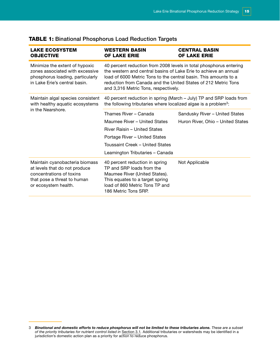| <b>LAKE ECOSYSTEM</b><br><b>OBJECTIVE</b>                                                                                                          | <b>WESTERN BASIN</b><br><b>OF LAKE ERIE</b>                                                                                                                                                                                                                                                                          | <b>CENTRAL BASIN</b><br><b>OF LAKE ERIE</b> |  |
|----------------------------------------------------------------------------------------------------------------------------------------------------|----------------------------------------------------------------------------------------------------------------------------------------------------------------------------------------------------------------------------------------------------------------------------------------------------------------------|---------------------------------------------|--|
| Minimize the extent of hypoxic<br>zones associated with excessive<br>phosphorus loading, particularly<br>in Lake Erie's central basin.             | 40 percent reduction from 2008 levels in total phosphorus entering<br>the western and central basins of Lake Erie to achieve an annual<br>load of 6000 Metric Tons to the central basin. This amounts to a<br>reduction from Canada and the United States of 212 Metric Tons<br>and 3,316 Metric Tons, respectively. |                                             |  |
| Maintain algal species consistent<br>with healthy aquatic ecosystems                                                                               | 40 percent reduction in spring (March - July) TP and SRP loads from<br>the following tributaries where localized algae is a problem <sup>3</sup> :                                                                                                                                                                   |                                             |  |
| in the Nearshore.                                                                                                                                  | Thames River - Canada                                                                                                                                                                                                                                                                                                | Sandusky River - United States              |  |
|                                                                                                                                                    | Maumee River - United States                                                                                                                                                                                                                                                                                         | Huron River, Ohio - United States           |  |
|                                                                                                                                                    | River Raisin - United States                                                                                                                                                                                                                                                                                         |                                             |  |
|                                                                                                                                                    | Portage River - United States                                                                                                                                                                                                                                                                                        |                                             |  |
|                                                                                                                                                    | Toussaint Creek – United States                                                                                                                                                                                                                                                                                      |                                             |  |
|                                                                                                                                                    | Leamington Tributaries - Canada                                                                                                                                                                                                                                                                                      |                                             |  |
| Maintain cyanobacteria biomass<br>at levels that do not produce<br>concentrations of toxins<br>that pose a threat to human<br>or ecosystem health. | 40 percent reduction in spring<br>TP and SRP loads from the<br>Maumee River (United States).<br>This equates to a target spring<br>load of 860 Metric Tons TP and<br>186 Metric Tons SRP.                                                                                                                            | Not Applicable                              |  |

### TABLE 1: Binational Phosphorus Load Reduction Targets

<sup>3</sup> *Binational and domestic efforts to reduce phosphorus will not be limited to these tributaries alone. These are a subset of the priority tributaries for nutrient control listed in* [Section 3.1](#page-19-1)*.* Additional tributaries or watersheds may be identified in a jurisdiction's domestic action plan as a priority for action to reduce phosphorus.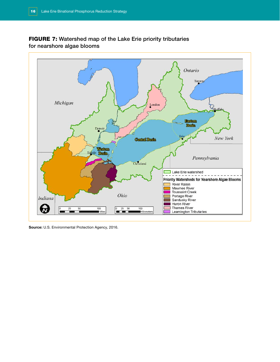## FIGURE 7: Watershed map of the Lake Erie priority tributaries for nearshore algae blooms



Source: U.S. Environmental Protection Agency, 2016.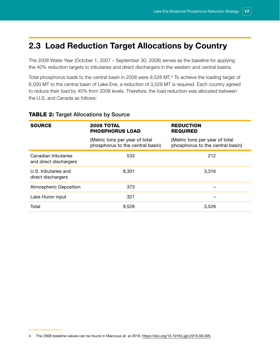## <span id="page-18-0"></span>2.3 Load Reduction Target Allocations by Country

The 2008 Water Year (October 1, 2007 – September 30, 2008) serves as the baseline for applying the 40% reduction targets to tributaries and direct dischargers in the western and central basins.

Total phosphorus loads to the central basin in 2008 were 9,528 MT.4 To achieve the loading target of 6,000 MT to the central basin of Lake Erie, a reduction of 3,528 MT is required. Each country agreed to reduce their load by 40% from 2008 levels. Therefore, the load reduction was allocated between the U.S. and Canada as follows:

| <b>SOURCE</b>                                  | <b>2008 TOTAL</b><br><b>PHOSPHORUS LOAD</b>                        | <b>REDUCTION</b><br><b>REQUIRED</b>                                |  |
|------------------------------------------------|--------------------------------------------------------------------|--------------------------------------------------------------------|--|
|                                                | (Metric tons per year of total<br>phosphorus to the central basin) | (Metric tons per year of total<br>phosphorus to the central basin) |  |
| Canadian tributaries<br>and direct dischargers | 533                                                                | 212                                                                |  |
| U.S. tributaries and<br>direct dischargers     | 8.301                                                              | 3.316                                                              |  |
| <b>Atmospheric Deposition</b>                  | 373                                                                |                                                                    |  |
| Lake Huron input                               | 321                                                                |                                                                    |  |
| Total                                          | 9,528                                                              | 3.528                                                              |  |

#### **TABLE 2: Target Allocations by Source**

<sup>4</sup> The 2008 baseline values can be found in Maccoux et. al 2016:<https://doi.org/10.1016/j.jglr.2016.08.005>.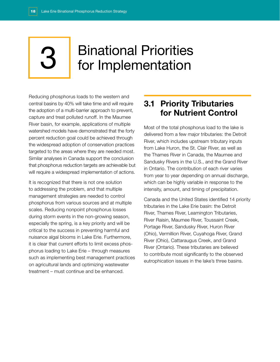# <span id="page-19-0"></span>3 Binational Priorities for Implementation

Reducing phosphorus loads to the western and central basins by 40% will take time and will require the adoption of a multi-barrier approach to prevent, capture and treat polluted runoff. In the Maumee River basin, for example, applications of multiple watershed models have demonstrated that the forty percent reduction goal could be achieved through the widespread adoption of conservation practices targeted to the areas where they are needed most. Similar analyses in Canada support the conclusion that phosphorus reduction targets are achievable but will require a widespread implementation of actions.

It is recognized that there is not one solution to addressing the problem, and that multiple management strategies are needed to control phosphorus from various sources and at multiple scales. Reducing nonpoint phosphorus losses during storm events in the non-growing season, especially the spring, is a key priority and will be critical to the success in preventing harmful and nuisance algal blooms in Lake Erie. Furthermore, it is clear that current efforts to limit excess phosphorus loading to Lake Erie – through measures such as implementing best management practices on agricultural lands and optimizing wastewater treatment – must continue and be enhanced.

## <span id="page-19-1"></span>3.1 Priority Tributaries for Nutrient Control

Most of the total phosphorus load to the lake is delivered from a few major tributaries: the Detroit River, which includes upstream tributary inputs from Lake Huron, the St. Clair River, as well as the Thames River in Canada, the Maumee and Sandusky Rivers in the U.S., and the Grand River in Ontario. The contribution of each river varies from year to year depending on annual discharge, which can be highly variable in response to the intensity, amount, and timing of precipitation.

Canada and the United States identified 14 priority tributaries in the Lake Erie basin: the Detroit River, Thames River, Leamington Tributaries, River Raisin, Maumee River, Toussaint Creek, Portage River, Sandusky River, Huron River (Ohio), Vermillion River, Cuyahoga River, Grand River (Ohio), Cattaraugus Creek, and Grand River (Ontario). These tributaries are believed to contribute most significantly to the observed eutrophication issues in the lake's three basins.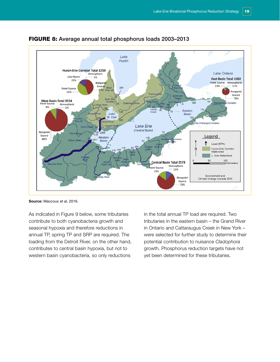

#### FIGURE 8: Average annual total phosphorus loads 2003–2013

Source: Maccoux et al, 2016.

As indicated in Figure 9 below, some tributaries contribute to both cyanobacteria growth and seasonal hypoxia and therefore reductions in annual TP, spring TP and SRP are required. The loading from the Detroit River, on the other hand, contributes to central basin hypoxia, but not to western basin cyanobacteria, so only reductions

in the total annual TP load are required. Two tributaries in the eastern basin – the Grand River in Ontario and Cattaraugus Creek in New York – were selected for further study to determine their potential contribution to nuisance *Cladophora* growth. Phosphorus reduction targets have not yet been determined for these tributaries.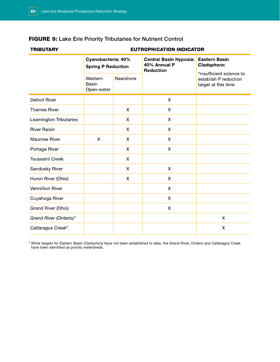## FIGURE 9: Lake Erie Priority Tributaries for Nutrient Control

#### **TRIBUTARY**

#### **EUTROPHICATION INDICATOR**

|                         | Cyanobacteria: 40%<br><b>Spring P Reduction</b> |              | <b>Central Basin Hypoxia:</b><br>40% Annual P<br><b>Reduction</b> | <b>Eastern Basin</b><br>Cladophora:                                      |
|-------------------------|-------------------------------------------------|--------------|-------------------------------------------------------------------|--------------------------------------------------------------------------|
|                         | Western<br>Basin<br>Open-water                  | Nearshore    |                                                                   | *insufficient science to<br>establish P reduction<br>target at this time |
| <b>Detroit River</b>    |                                                 |              | $\mathsf{X}$                                                      |                                                                          |
| <b>Thames River</b>     |                                                 | $\mathsf{X}$ | X                                                                 |                                                                          |
| Leamington Tributaries  |                                                 | X            | $\boldsymbol{\mathsf{X}}$                                         |                                                                          |
| <b>River Raisin</b>     |                                                 | $\mathsf{X}$ | $\boldsymbol{\mathsf{X}}$                                         |                                                                          |
| Maumee River            | X                                               | X            | X                                                                 |                                                                          |
| Portage River           |                                                 | $\mathsf{X}$ | X                                                                 |                                                                          |
| <b>Toussaint Creek</b>  |                                                 | $\mathsf{X}$ |                                                                   |                                                                          |
| Sandusky River          |                                                 | X            | $\mathsf{X}$                                                      |                                                                          |
| Huron River (Ohio)      |                                                 | X            | $\boldsymbol{\mathsf{X}}$                                         |                                                                          |
| <b>Vermillion River</b> |                                                 |              | $\mathsf{X}$                                                      |                                                                          |
| Cuyahoga River          |                                                 |              | X                                                                 |                                                                          |
| Grand River (Ohio)      |                                                 |              | $\boldsymbol{\mathsf{X}}$                                         |                                                                          |
| Grand River (Ontario)*  |                                                 |              |                                                                   | $\mathsf{X}$                                                             |
| Cattaragus Creek*       |                                                 |              |                                                                   | $\boldsymbol{\mathsf{X}}$                                                |

\* While targets for Eastern Basin *Cladophora* have not been established to date, the Grand River, Ontario and *Cattaragus* Creek have been identified as priority watersheds.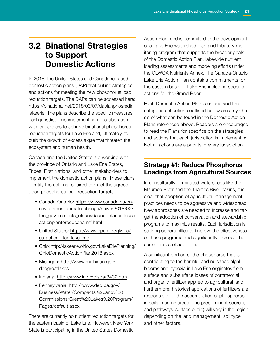## <span id="page-22-0"></span>3.2 Binational Strategies to Support Domestic Actions

In 2018, the United States and Canada released domestic action plans (DAP) that outline strategies and actions for meeting the new phosphorus load reduction targets. The DAPs can be accessed here: https://binational.net/2018/03/07/daplanphosredin [lakeerie. The plans describe the specific measures](https://binational.net/2018/03/07/daplanphosredinlakeerie)  each jurisdiction is implementing in collaboration with its partners to achieve binational phosphorus reduction targets for Lake Erie and, ultimately, to curb the growth of excess algae that threaten the ecosystem and human health.

Canada and the United States are working with the province of Ontario and Lake Erie States, Tribes, First Nations, and other stakeholders to implement the domestic action plans. These plans identify the actions required to meet the agreed upon phosphorus load reduction targets.

- Canada-Ontario: https://www.canada.ca/en/ environment-climate-change/news/2018/02/ [the\\_governments\\_ofcanadaandontariorelease](https://www.canada.ca/en/environment-climate-change/news/2018/02/the_governments_ofcanadaandontarioreleaseactionplantoreduceharmf.html) actionplantoreduceharmf.html
- [United States: https://www.epa.gov/glwqa/](https://www.epa.gov/glwqa/us-action-plan-lake-erie) us-action-plan-lake-erie
- [Ohio: http://lakeerie.ohio.gov/LakeEriePlanning/](http://lakeerie.ohio.gov/LakeEriePlanning/OhioDomesticActionPlan2018.aspx) OhioDomesticActionPlan2018.aspx
- [Michigan: http://www.michigan.gov/](http://www.michigan.gov/deqgreatlakes) deqgreatlakes
- Indiana: <http://www.in.gov/isda/3432.htm>
- Pennsylvania: http://www.dep.pa.gov/ Business/Water/Compacts%20and%20 [Commissions/Great%20Lakes%20Program/](http://www.dep.pa.gov/Business/Water/Compacts%20and%20Commissions/Great%20Lakes%20Program/Pages/default.aspx%20) Pages/default.aspx

There are currently no nutrient reduction targets for the eastern basin of Lake Erie. However, New York State is participating in the United States Domestic Action Plan, and is committed to the development of a Lake Erie watershed plan and tributary monitoring program that supports the broader goals of the Domestic Action Plan, lakewide nutrient loading assessments and modeling efforts under the GLWQA Nutrients Annex. The Canada-Ontario Lake Erie Action Plan contains commitments for the eastern basin of Lake Erie including specific actions for the Grand River.

Each Domestic Action Plan is unique and the categories of actions outlined below are a synthesis of what can be found in the Domestic Action Plans referenced above. Readers are encouraged to read the Plans for specifics on the strategies and actions that each jurisdiction is implementing. Not all actions are a priority in every jurisdiction.

## Strategy #1: Reduce Phosphorus Loadings from Agricultural Sources

In agriculturally dominated watersheds like the Maumee River and the Thames River basins, it is clear that adoption of agricultural management practices needs to be aggressive and widespread. New approaches are needed to increase and target the adoption of conservation and stewardship programs to maximize results. Each jurisdiction is seeking opportunities to improve the effectiveness of these programs and significantly increase the current rates of adoption.

A significant portion of the phosphorus that is contributing to the harmful and nuisance algal blooms and hypoxia in Lake Erie originates from surface and subsurface losses of commercial and organic fertilizer applied to agricultural land. Furthermore, historical applications of fertilizers are responsible for the accumulation of phosphorus in soils in some areas. The predominant sources and pathways (surface or tile) will vary in the region, depending on the land management, soil type and other factors.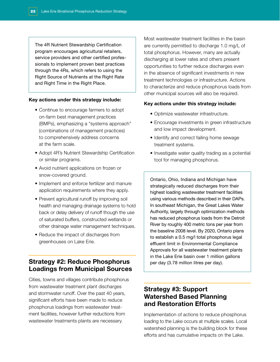<span id="page-23-0"></span>The 4R Nutrient Stewardship Certification program encourages agricultural retailers, service providers and other certified professionals to implement proven best practices through the 4Rs, which refers to using the Right Source of Nutrients at the Right Rate and Right Time in the Right Place.

#### Key actions under this strategy include:

- Continue to encourage farmers to adopt on-farm best management practices (BMPs), emphasizing a "systems approach" (combinations of management practices) to comprehensively address concerns at the farm scale.
- Adopt 4R's Nutrient Stewardship Certification or similar programs.
- Avoid nutrient applications on frozen or snow-covered ground.
- Implement and enforce fertilizer and manure application requirements where they apply.
- Prevent agricultural runoff by improving soil health and managing drainage systems to hold back or delay delivery of runoff though the use of saturated buffers, constructed wetlands or other drainage water management techniques.
- Reduce the impact of discharges from greenhouses on Lake Erie.

## Strategy #2: Reduce Phosphorus Loadings from Municipal Sources

Cities, towns and villages contribute phosphorus from wastewater treatment plant discharges and stormwater runoff. Over the past 40 years, significant efforts have been made to reduce phosphorus loadings from wastewater treatment facilities, however further reductions from wastewater treatments plants are necessary.

Most wastewater treatment facilities in the basin are currently permitted to discharge 1.0 mg/L of total phosphorus. However, many are actually discharging at lower rates and others present opportunities to further reduce discharges even in the absence of significant investments in new treatment technologies or infrastructure. Actions to characterize and reduce phosphorus loads from other municipal sources will also be required.

#### Key actions under this strategy include:

- Optimize wastewater infrastructure.
- Encourage investments in green infrastructure and low impact development.
- Identify and correct failing home sewage treatment systems.
- Investigate water quality trading as a potential tool for managing phosphorus.

Ontario, Ohio, Indiana and Michigan have strategically reduced discharges from their highest loading wastewater treatment facilities using various methods described in their DAPs. In southeast Michigan, the Great Lakes Water Authority, largely through optimization methods has reduced phosphorus loads from the Detroit River by roughly 400 metric tons per year from the baseline 2008 level. By 2020, Ontario plans to establish a 0.5 mg/l total phosphorus legal effluent limit in Environmental Compliance Approvals for all wastewater treatment plants in the Lake Erie basin over 1 million gallons per day (3.78 million litres per day).

## Strategy #3: Support Watershed Based Planning and Restoration Efforts

Implementation of actions to reduce phosphorus loading to the Lake occurs at multiple scales. Local watershed planning is the building block for these efforts and has cumulative impacts on the Lake.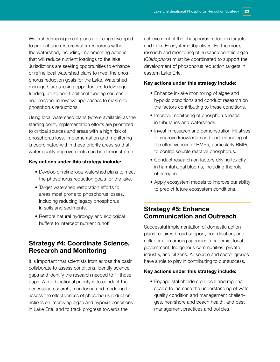<span id="page-24-0"></span>Watershed management plans are being developed to protect and restore water resources within the watershed, including implementing actions that will reduce nutrient loadings to the lake. Jurisdictions are seeking opportunities to enhance or refine local watershed plans to meet the phosphorus reduction goals for the Lake. Watershed managers are seeking opportunities to leverage funding, utilize non-traditional funding sources, and consider innovative approaches to maximize phosphorus reductions.

Using local watershed plans (where available) as the starting point, implementation efforts are prioritized to critical sources and areas with a high risk of phosphorus loss. Implementation and monitoring is coordinated within these priority areas so that water quality improvements can be demonstrated.

#### Key actions under this strategy include:

- Develop or refine local watershed plans to meet the phosphorus reduction goals for the lake.
- Target watershed restoration efforts to areas most prone to phosphorus losses, including reducing legacy phosphorus in soils and sediments.
- Restore natural hydrology and ecological buffers to intercept nutrient runoff.

## Strategy #4: Coordinate Science, Research and Monitoring

It is important that scientists from across the basin collaborate to assess conditions, identify science gaps and identify the research needed to fill those gaps. A top binational priority is to conduct the necessary research, monitoring and modeling to assess the effectiveness of phosphorus reduction actions on improving algae and hypoxia conditions in Lake Erie, and to track progress towards the

achievement of the phosphorus reduction targets and Lake Ecosystem Objectives. Furthermore, research and monitoring of nuisance benthic algae (*Cladophora*) must be coordinated to support the development of phosphorus reduction targets in eastern Lake Erie.

#### Key actions under this strategy include:

- Enhance in-lake monitoring of algae and hypoxic conditions and conduct research on the factors contributing to these conditions.
- Improve monitoring of phosphorus loads in tributaries and watersheds.
- Invest in research and demonstration initiatives to improve knowledge and understanding of the effectiveness of BMPs, particularly BMPs to control soluble reactive phosphorus.
- Conduct research on factors driving toxicity in harmful algal blooms, including the role of nitrogen.
- Apply ecosystem models to improve our ability to predict future ecosystem conditions.

## Strategy #5: Enhance Communication and Outreach

Successful implementation of domestic action plans requires broad support, coordination, and collaboration among agencies, academia, local government, Indigenous communities, private industry, and citizens. All source and sector groups have a role to play in contributing to our success.

#### Key actions under this strategy include:

• Engage stakeholders on local and regional scales to increase the understanding of water quality condition and management challenges, nearshore and beach health, and best management practices and policies.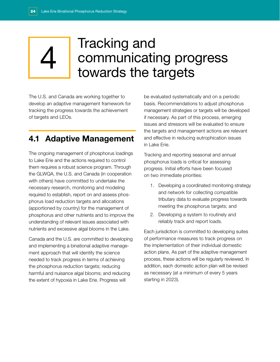# <span id="page-25-0"></span>**4** Tracking and<br>**4** Communicatin<br>towards the tr communicating progress towards the targets

The U.S. and Canada are working together to develop an adaptive management framework for tracking the progress towards the achievement of targets and LEOs.

## 4.1 Adaptive Management

The ongoing management of phosphorus loadings to Lake Erie and the actions required to control them requires a robust science program. Through the GLWQA, the U.S. and Canada (in cooperation with others) have committed to undertake the necessary research, monitoring and modeling required to establish, report on and assess phosphorus load reduction targets and allocations (apportioned by country) for the management of phosphorus and other nutrients and to improve the understanding of relevant issues associated with nutrients and excessive algal blooms in the Lake.

Canada and the U.S. are committed to developing and implementing a binational adaptive management approach that will identify the science needed to track progress in terms of achieving the phosphorus reduction targets; reducing harmful and nuisance algal blooms; and reducing the extent of hypoxia in Lake Erie. Progress will

be evaluated systematically and on a periodic basis. Recommendations to adjust phosphorus management strategies or targets will be developed if necessary. As part of this process, emerging issues and stressors will be evaluated to ensure the targets and management actions are relevant and effective in reducing eutrophication issues in Lake Erie.

Tracking and reporting seasonal and annual phosphorus loads is critical for assessing progress. Initial efforts have been focused on two immediate priorities:

- 1. Developing a coordinated monitoring strategy and network for collecting compatible tributary data to evaluate progress towards meeting the phosphorus targets; and
- 2. Developing a system to routinely and reliably track and report loads.

Each jurisdiction is committed to developing suites of performance measures to track progress on the implementation of their individual domestic action plans. As part of the adaptive management process, these actions will be regularly reviewed. In addition, each domestic action plan will be revised as necessary (at a minimum of every 5 years starting in 2023).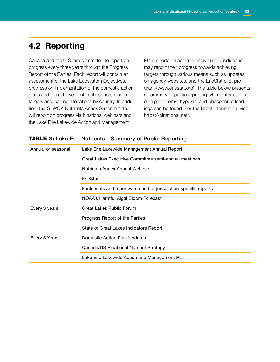## <span id="page-26-0"></span>4.2 Reporting

Canada and the U.S. are committed to report on progress every three years through the Progress Report of the Parties. Each report will contain an assessment of the Lake Ecosystem Objectives, progress on implementation of the domestic action plans and the achievement in phosphorus loadings targets and loading allocations by country. In addition, the GLWQA Nutrients Annex Subcommittee will report on progress via binational webinars and the Lake Erie Lakewide Action and Management

Plan reports. In addition, individual jurisdictions may report their progress towards achieving targets through various means such as updates on agency websites, and the ErieStat pilot program [\(www.eriestat.org\)](http://www.eriestat.org). The table below presents a summary of public reporting where information on algal blooms, hypoxia, and phosphorus loadings can be found. For the latest information, visit [https://binational.net/.](https://binational.net/)

| <b>TABLE 3:</b> Lake Erie Nutrients - Summary of Public Reporting |  |  |
|-------------------------------------------------------------------|--|--|
|-------------------------------------------------------------------|--|--|

| Annual or seasonal | Lake Erie Lakewide Management Annual Report                     |  |
|--------------------|-----------------------------------------------------------------|--|
|                    | Great Lakes Executive Committee semi-annual meetings            |  |
|                    | Nutrients Annex Annual Webinar                                  |  |
|                    | ErieStat                                                        |  |
|                    | Factsheets and other watershed or jurisdiction-specific reports |  |
|                    | NOAA's Harmful Algal Bloom Forecast                             |  |
| Every 3 years      | Great Lakes Public Forum                                        |  |
|                    | Progress Report of the Parties                                  |  |
|                    | State of Great Lakes Indicators Report                          |  |
| Every 5 Years      | Domestic Action Plan Updates                                    |  |
|                    | Canada/US Binational Nutrient Strategy                          |  |
|                    | Lake Erie Lakewide Action and Management Plan                   |  |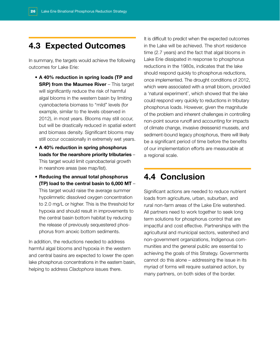## <span id="page-27-0"></span>4.3 Expected Outcomes

In summary, the targets would achieve the following outcomes for Lake Erie:

- A 40% reduction in spring loads (TP and **SRP) from the Maumee River** – This target will significantly reduce the risk of harmful algal blooms in the western basin by limiting cyanobacteria biomass to "mild" levels (for example, similar to the levels observed in 2012), in most years. Blooms may still occur, but will be drastically reduced in spatial extent and biomass density. Significant blooms may still occur occasionally in extremely wet years.
- A 40% reduction in spring phosphorus loads for the nearshore priority tributaries – This target would limit cyanobacterial growth in nearshore areas (see map/list).
- Reducing the annual total phosphorus (TP) load to the central basin to 6,000 MT – This target would raise the average summer hypolimnetic dissolved oxygen concentration to 2.0 mg/L or higher. This is the threshold for hypoxia and should result in improvements to the central basin bottom habitat by reducing the release of previously sequestered phosphorus from anoxic bottom sediments.

In addition, the reductions needed to address harmful algal blooms and hypoxia in the western and central basins are expected to lower the open lake phosphorus concentrations in the eastern basin, helping to address *Cladophora* issues there.

It is difficult to predict when the expected outcomes in the Lake will be achieved. The short residence time (2.7 years) and the fact that algal blooms in Lake Erie dissipated in response to phosphorus reductions in the 1980s, indicates that the lake should respond quickly to phosphorus reductions, once implemented. The drought conditions of 2012, which were associated with a small bloom, provided a 'natural experiment', which showed that the lake could respond very quickly to reductions in tributary phosphorus loads. However, given the magnitude of the problem and inherent challenges in controlling non-point source runoff and accounting for impacts of climate change, invasive dreissenid mussels, and sediment-bound legacy phosphorus, there will likely be a significant period of time before the benefits of our implementation efforts are measurable at a regional scale.

## 4.4 Conclusion

Significant actions are needed to reduce nutrient loads from agriculture, urban, suburban, and rural non-farm areas of the Lake Erie watershed. All partners need to work together to seek long term solutions for phosphorus control that are impactful and cost effective. Partnerships with the agricultural and municipal sectors, watershed and non-government organizations, Indigenous communities and the general public are essential to achieving the goals of this Strategy. Governments cannot do this alone – addressing the issue in its myriad of forms will require sustained action, by many partners, on both sides of the border.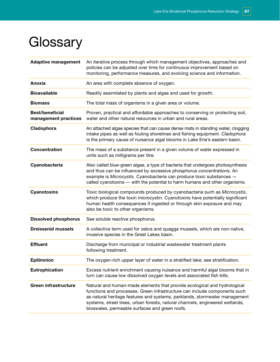# <span id="page-28-0"></span>**Glossary**

| <b>Adaptive management</b>                     | An iterative process through which management objectives, approaches and<br>policies can be adjusted over time for continuous improvement based on<br>monitoring, performance measures, and evolving science and information.                                                                                                                                         |
|------------------------------------------------|-----------------------------------------------------------------------------------------------------------------------------------------------------------------------------------------------------------------------------------------------------------------------------------------------------------------------------------------------------------------------|
| Anoxia                                         | An area with complete absence of oxygen.                                                                                                                                                                                                                                                                                                                              |
| <b>Bioavailable</b>                            | Readily assimilated by plants and algae and used for growth.                                                                                                                                                                                                                                                                                                          |
| <b>Biomass</b>                                 | The total mass of organisms in a given area or volume.                                                                                                                                                                                                                                                                                                                |
| <b>Best/beneficial</b><br>management practices | Proven, practical and affordable approaches to conserving or protecting soil,<br>water and other natural resources in urban and rural areas.                                                                                                                                                                                                                          |
| Cladophora                                     | An attached algae species that can cause dense mats in standing water, clogging<br>intake pipes as well as fouling shorelines and fishing equipment. Cladophora<br>is the primary cause of nuisance algal blooms in Lake Erie's eastern basin.                                                                                                                        |
| <b>Concentration</b>                           | The mass of a substance present in a given volume of water expressed in<br>units such as milligrams per litre.                                                                                                                                                                                                                                                        |
| Cyanobacteria                                  | Also called blue-green algae, a type of bacteria that undergoes photosynthesis<br>and thus can be influenced by excessive phosphorus concentrations. An<br>example is Microcystis. Cyanobacteria can produce toxic substances -<br>called cyanotoxins - with the potential to harm humans and other organisms.                                                        |
| <b>Cyanotoxins</b>                             | Toxic biological compounds produced by cyanobacteria such as Microcystis,<br>which produce the toxin microcystin. Cyanotoxins have potentially significant<br>human health consequences if ingested or through skin exposure and may<br>also be toxic to other organisms.                                                                                             |
| <b>Dissolved phosphorus</b>                    | See soluble reactive phosphorus.                                                                                                                                                                                                                                                                                                                                      |
| <b>Dreissenid mussels</b>                      | A collective term used for zebra and quagga mussels, which are non-native,<br>invasive species in the Great Lakes basin.                                                                                                                                                                                                                                              |
| <b>Effluent</b>                                | Discharge from municipal or industrial wastewater treatment plants<br>following treatment.                                                                                                                                                                                                                                                                            |
| <b>Epilimnion</b>                              | The oxygen-rich upper layer of water in a stratified lake; see stratification.                                                                                                                                                                                                                                                                                        |
| <b>Eutrophication</b>                          | Excess nutrient enrichment causing nuisance and harmful algal blooms that in<br>turn can cause low dissolved oxygen levels and associated fish kills.                                                                                                                                                                                                                 |
| <b>Green infrastructure</b>                    | Natural and human-made elements that provide ecological and hydrological<br>functions and processes. Green infrastructure can include components such<br>as natural heritage features and systems, parklands, stormwater management<br>systems, street trees, urban forests, natural channels, engineered wetlands,<br>bioswales, permeable surfaces and green roofs. |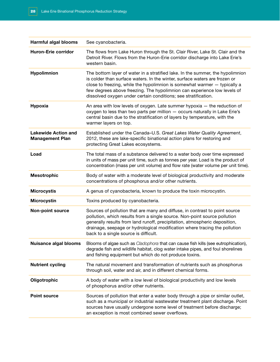| <b>Harmful algal blooms</b>                          | See cyanobacteria.                                                                                                                                                                                                                                                                                                                                                                      |
|------------------------------------------------------|-----------------------------------------------------------------------------------------------------------------------------------------------------------------------------------------------------------------------------------------------------------------------------------------------------------------------------------------------------------------------------------------|
| <b>Huron-Erie corridor</b>                           | The flows from Lake Huron through the St. Clair River, Lake St. Clair and the<br>Detroit River. Flows from the Huron-Erie corridor discharge into Lake Erie's<br>western basin.                                                                                                                                                                                                         |
| Hypolimnion                                          | The bottom layer of water in a stratified lake. In the summer, the hypolimnion<br>is colder than surface waters. In the winter, surface waters are frozen or<br>close to freezing, while the hypolimnion is somewhat warmer - typically a<br>few degrees above freezing. The hypolimnion can experience low levels of<br>dissolved oxygen under certain conditions; see stratification. |
| <b>Hypoxia</b>                                       | An area with low levels of oxygen. Late summer hypoxia $-$ the reduction of<br>oxygen to less than two parts per million - occurs naturally in Lake Erie's<br>central basin due to the stratification of layers by temperature, with the<br>warmer layers on top.                                                                                                                       |
| <b>Lakewide Action and</b><br><b>Management Plan</b> | Established under the Canada–U.S. Great Lakes Water Quality Agreement,<br>2012, these are lake-specific binational action plans for restoring and<br>protecting Great Lakes ecosystems.                                                                                                                                                                                                 |
| Load                                                 | The total mass of a substance delivered to a water body over time expressed<br>in units of mass per unit time, such as tonnes per year. Load is the product of<br>concentration (mass per unit volume) and flow rate (water volume per unit time).                                                                                                                                      |
| <b>Mesotrophic</b>                                   | Body of water with a moderate level of biological productivity and moderate<br>concentrations of phosphorus and/or other nutrients.                                                                                                                                                                                                                                                     |
| <b>Microcystis</b>                                   | A genus of cyanobacteria, known to produce the toxin microcystin.                                                                                                                                                                                                                                                                                                                       |
| <b>Microcystin</b>                                   | Toxins produced by cyanobacteria.                                                                                                                                                                                                                                                                                                                                                       |
| <b>Non-point source</b>                              | Sources of pollution that are many and diffuse, in contrast to point source<br>pollution, which results from a single source. Non-point source pollution<br>generally results from land runoff, precipitation, atmospheric deposition,<br>drainage, seepage or hydrological modification where tracing the pollution<br>back to a single source is difficult.                           |
| Nuisance algal blooms                                | Blooms of algae such as Cladophora that can cause fish kills (see eutrophication),<br>degrade fish and wildlife habitat, clog water intake pipes, and foul shorelines<br>and fishing equipment but which do not produce toxins.                                                                                                                                                         |
| <b>Nutrient cycling</b>                              | The natural movement and transformation of nutrients such as phosphorus<br>through soil, water and air, and in different chemical forms.                                                                                                                                                                                                                                                |
| Oligotrophic                                         | A body of water with a low level of biological productivity and low levels<br>of phosphorus and/or other nutrients.                                                                                                                                                                                                                                                                     |
| <b>Point source</b>                                  | Sources of pollution that enter a water body through a pipe or similar outlet,<br>such as a municipal or industrial wastewater treatment plant discharge. Point<br>sources have usually undergone some level of treatment before discharge;<br>an exception is most combined sewer overflows.                                                                                           |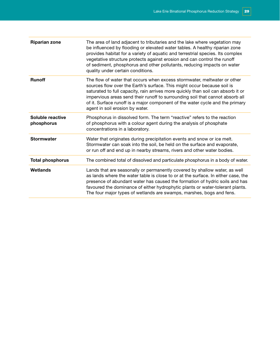| <b>Riparian zone</b>           | The area of land adjacent to tributaries and the lake where vegetation may<br>be influenced by flooding or elevated water tables. A healthy riparian zone<br>provides habitat for a variety of aquatic and terrestrial species. Its complex<br>vegetative structure protects against erosion and can control the runoff<br>of sediment, phosphorus and other pollutants, reducing impacts on water<br>quality under certain conditions.      |
|--------------------------------|----------------------------------------------------------------------------------------------------------------------------------------------------------------------------------------------------------------------------------------------------------------------------------------------------------------------------------------------------------------------------------------------------------------------------------------------|
| <b>Runoff</b>                  | The flow of water that occurs when excess stormwater, meltwater or other<br>sources flow over the Earth's surface. This might occur because soil is<br>saturated to full capacity, rain arrives more quickly than soil can absorb it or<br>impervious areas send their runoff to surrounding soil that cannot absorb all<br>of it. Surface runoff is a major component of the water cycle and the primary<br>agent in soil erosion by water. |
| Soluble reactive<br>phosphorus | Phosphorus in dissolved form. The term "reactive" refers to the reaction<br>of phosphorus with a colour agent during the analysis of phosphate<br>concentrations in a laboratory.                                                                                                                                                                                                                                                            |
| <b>Stormwater</b>              | Water that originates during precipitation events and snow or ice melt.<br>Stormwater can soak into the soil, be held on the surface and evaporate,<br>or run off and end up in nearby streams, rivers and other water bodies.                                                                                                                                                                                                               |
| <b>Total phosphorus</b>        | The combined total of dissolved and particulate phosphorus in a body of water.                                                                                                                                                                                                                                                                                                                                                               |
| Wetlands                       | Lands that are seasonally or permanently covered by shallow water, as well<br>as lands where the water table is close to or at the surface. In either case, the<br>presence of abundant water has caused the formation of hydric soils and has<br>favoured the dominance of either hydrophytic plants or water-tolerant plants.<br>The four major types of wetlands are swamps, marshes, bogs and fens.                                      |